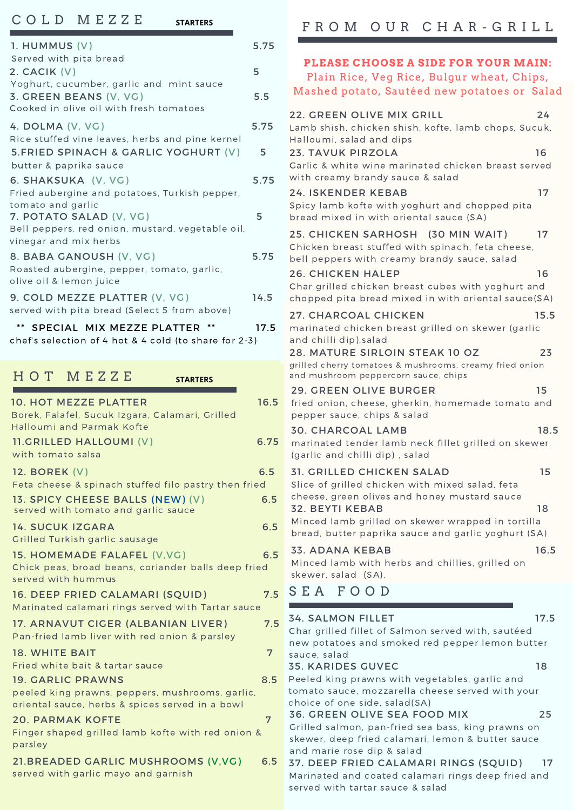#### C O L D M E Z Z E 1. HUMMUS (V) 5.75 Served with pita bread **PLEASE CHOOSE <sup>A</sup> SIDE FOR YOUR MAIN:** 5.FRIED SPINACH & GARLIC YOGHURT (V) 5 butter & paprika sauce 6. SHAKSUKA (V, VG) 5.75 Fried aubergine and potatoes, Turkish pepper, tomato and garlic 7. POTATO SALAD (V, VG) 5 Bell peppers, red onion, mustard, vegetable oil, vinegar and mix herbs \*\* SPECIAL MIX MEZZE PLATTER \*\* 17.5 chef's selection of 4 hot & 4 cold (to share for 2-3) 8. BABA GANOUSH (V, VG) 5.75 Roasted aubergine, pepper, tomato, garlic, olive oil & lemon juice 9. COLD MEZZE PLATTER (V, VG) 14.5 served with pita bread (Select 5 from above) 2. CACIK (V) 5 Yoghurt, cucumber, garlic and mint sauce 3. GREEN BEANS (V, VG) 5.5 Cooked in olive oil with fresh tomatoes 4. DOLMA (V, VG) 5.75 Rice stuffed vine leaves, herbs and pine kernel **STARTERS**

#### 21.BREADED GARLIC MUSHROOMS (V,VG) 6.5 19. GARLIC PRAWNS 8.5 peeled king prawns, peppers, mushrooms, garlic, oriental sauce, herbs & spices served in a bowl H O T M E Z Z E 10. HOT MEZZE PLATTER 16.5 Borek, Falafel, Sucuk Izgara, Calamari, Grilled Halloumi and Parmak Kofte 11.GRILLED HALLOUMI (V) 6.75 with tomato salsa 12. BOREK (V) 6.5 Feta cheese & spinach stuffed filo pastry then fried 14. SUCUK IZGARA 6.5 Grilled Turkish garlic sausage 15. HOMEMADE FALAFEL (V, VG) 6.5 Chick peas, broad beans, coriander balls deep fried served with hummus 16. DEEP FRIED CALAMARI (SQUID) 7.5 Marinated calamari rings served with Tartar sauce 13. SPICY CHEESE BALLS (NEW) (V) 6.5 served with tomato and garlic sauce 18. WHITE BAIT **7** Fried white bait & tartar sauce 20. PARMAK KOFTE 7 Finger shaped grilled lamb kofte with red onion & parsley 17. ARNAVUT CIGER (ALBANIAN LIVER) 7.5 Pan-fried lamb liver with red onion & parsley **STARTERS**

served with garlic mayo and garnish

# F R O M O U R C H A R - G R I L L

| PLEASE CHOOSE A SIDE FOR YOUR MAIN:                                                                                               |      |  |
|-----------------------------------------------------------------------------------------------------------------------------------|------|--|
| Plain Rice, Veg Rice, Bulgur wheat, Chips,<br>Mashed potato, Sautéed new potatoes or Salad                                        |      |  |
|                                                                                                                                   |      |  |
| <b>22. GREEN OLIVE MIX GRILL</b><br>Lamb shish, chicken shish, kofte, lamb chops, Sucuk,                                          | 24   |  |
| Halloumi, salad and dips<br><b>23. TAVUK PIRZOLA</b>                                                                              | 16   |  |
| Garlic & white wine marinated chicken breast served<br>with creamy brandy sauce & salad                                           |      |  |
| <b>24. ISKENDER KEBAB</b><br>Spicy lamb kofte with yoghurt and chopped pita<br>bread mixed in with oriental sauce (SA)            | 17   |  |
| 25. CHICKEN SARHOSH (30 MIN WAIT)<br>Chicken breast stuffed with spinach, feta cheese,                                            | 17   |  |
| bell peppers with creamy brandy sauce, salad                                                                                      |      |  |
| <b>26. CHICKEN HALEP</b><br>Char grilled chicken breast cubes with yoghurt and                                                    | 16   |  |
| chopped pita bread mixed in with oriental sauce(SA)                                                                               |      |  |
| 27. CHARCOAL CHICKEN<br>marinated chicken breast grilled on skewer (garlic                                                        | 15.5 |  |
| and chilli dip), salad                                                                                                            |      |  |
| 28. MATURE SIRLOIN STEAK 10 OZ<br>grilled cherry tomatoes & mushrooms, creamy fried onion<br>and mushroom peppercorn sauce, chips | 23   |  |
| <b>29. GREEN OLIVE BURGER</b>                                                                                                     | 15   |  |
| fried onion, cheese, gherkin, homemade tomato and<br>pepper sauce, chips & salad                                                  |      |  |
| <b>30. CHARCOAL LAMB</b>                                                                                                          | 18.5 |  |
| marinated tender lamb neck fillet grilled on skewer.<br>(garlic and chilli dip), salad                                            |      |  |
| <b>31. GRILLED CHICKEN SALAD</b>                                                                                                  | 15   |  |
| Slice of grilled chicken with mixed salad, feta<br>cheese, green olives and honey mustard sauce                                   |      |  |
| <b>32. BEYTI KEBAB</b><br>Minced lamb grilled on skewer wrapped in tortilla                                                       | 18   |  |
| bread, butter paprika sauce and garlic yoghurt (SA)                                                                               |      |  |
| <b>33. ADANA KEBAB</b><br>Minced lamb with herbs and chillies, grilled on                                                         | 16.5 |  |
| skewer, salad (SA),                                                                                                               |      |  |
| SEA FOOD                                                                                                                          |      |  |
| <b>34. SALMON FILLET</b>                                                                                                          | 17.5 |  |
| Char grilled fillet of Salmon served with, sautéed<br>new potatoes and smoked red pepper lemon butter                             |      |  |
| sauce, salad<br><b>35. KARIDES GUVEC</b>                                                                                          | 18   |  |
| Peeled king prawns with vegetables, garlic and                                                                                    |      |  |
| tomato sauce, mozzarella cheese served with your<br>choice of one side, salad(SA)                                                 |      |  |
| <b>36. GREEN OLIVE SEA FOOD MIX</b>                                                                                               | 25   |  |
| Grilled salmon, pan-fried sea bass, king prawns on<br>skewer, deep fried calamari, lemon & butter sauce                           |      |  |
| and marie rose dip & salad<br>37. DEEP FRIED CALAMARI RINGS (SQUID)                                                               | 17   |  |
| Marinated and coated calamari rings deep fried and                                                                                |      |  |
| served with tartar sauce & salad                                                                                                  |      |  |